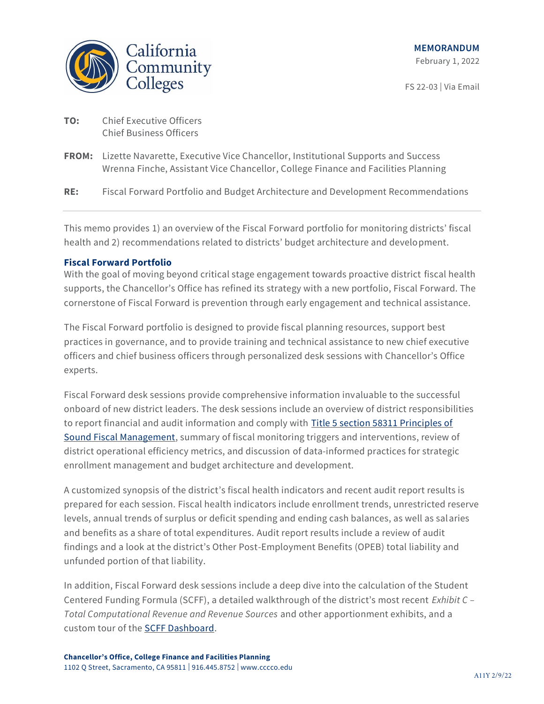

FS 22-03 | Via Email

- **TO:** Chief Executive Officers Chief Business Officers
- **FROM:** Lizette Navarette, Executive Vice Chancellor, Institutional Supports and Success Wrenna Finche, Assistant Vice Chancellor, College Finance and Facilities Planning
- **RE:** Fiscal Forward Portfolio and Budget Architecture and Development Recommendations

This memo provides 1) an overview of the Fiscal Forward portfolio for monitoring districts' fiscal health and 2) recommendations related to districts' budget architecture and development.

### **Fiscal Forward Portfolio**

With the goal of moving beyond critical stage engagement towards proactive district fiscal health supports, the Chancellor's Office has refined its strategy with a new portfolio, Fiscal Forward. The cornerstone of Fiscal Forward is prevention through early engagement and technical assistance.

The Fiscal Forward portfolio is designed to provide fiscal planning resources, support best practices in governance, and to provide training and technical assistance to new chief executive officers and chief business officers through personalized desk sessions with Chancellor's Office experts.

Fiscal Forward desk sessions provide comprehensive information invaluable to the successful onboard of new district leaders. The desk sessions include an overview of district responsibilities to report financial and audit information and comply with [Title 5 section 58311 Principles of](https://govt.westlaw.com/calregs/Document/IE1DC65B0D48511DEBC02831C6D6C108E?originationContext=document&transitionType=StatuteNavigator&needToInjectTerms=False&viewType=FullText&t_T1=5&t_T2=58301&t_S1=CA%20ADC%20s&contextData=%28sc.Default%29)  [Sound Fiscal Management,](https://govt.westlaw.com/calregs/Document/IE1DC65B0D48511DEBC02831C6D6C108E?originationContext=document&transitionType=StatuteNavigator&needToInjectTerms=False&viewType=FullText&t_T1=5&t_T2=58301&t_S1=CA%20ADC%20s&contextData=%28sc.Default%29) summary of fiscal monitoring triggers and interventions, review of district operational efficiency metrics, and discussion of data-informed practices for strategic enrollment management and budget architecture and development.

A customized synopsis of the district's fiscal health indicators and recent audit report results is prepared for each session. Fiscal health indicators include enrollment trends, unrestricted reserve levels, annual trends of surplus or deficit spending and ending cash balances, as well as salaries and benefits as a share of total expenditures. Audit report results include a review of audit findings and a look at the district's Other Post-Employment Benefits (OPEB) total liability and unfunded portion of that liability.

In addition, Fiscal Forward desk sessions include a deep dive into the calculation of the Student Centered Funding Formula (SCFF), a detailed walkthrough of the district's most recent *Exhibit C – Total Computational Revenue and Revenue Sources* and other apportionment exhibits, and a custom tour of the [SCFF Dashboard.](https://www.cccco.edu/About-Us/Chancellors-Office/Divisions/College-Finance-and-Facilities-Planning/scff-dashboard)